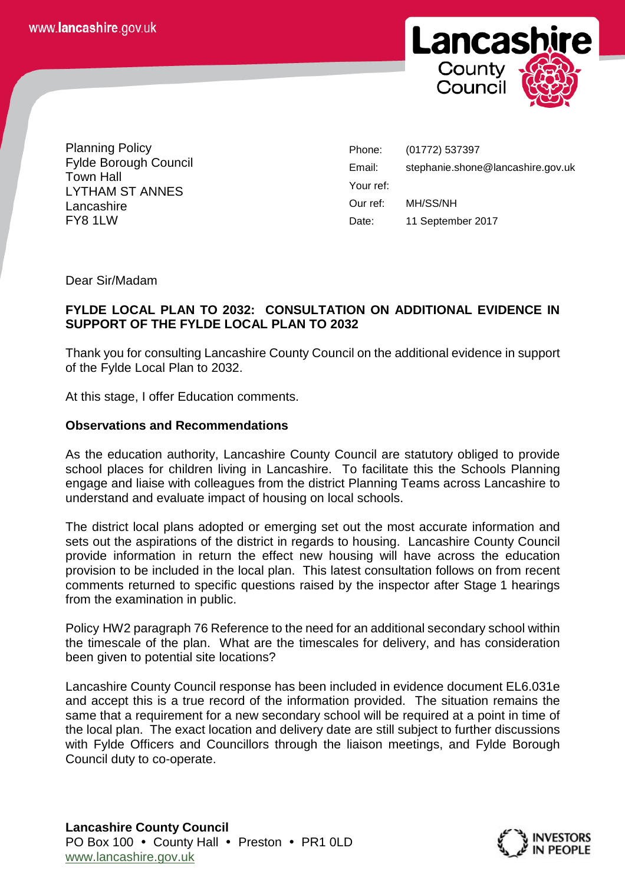

Planning Policy Fylde Borough Council Town Hall LYTHAM ST ANNES Lancashire FY8 1LW

Phone: (01772) 537397 Email: stephanie.shone@lancashire.gov.uk Your ref: Our ref: MH/SS/NH Date: 11 September 2017

Dear Sir/Madam

## **FYLDE LOCAL PLAN TO 2032: CONSULTATION ON ADDITIONAL EVIDENCE IN SUPPORT OF THE FYLDE LOCAL PLAN TO 2032**

Thank you for consulting Lancashire County Council on the additional evidence in support of the Fylde Local Plan to 2032.

At this stage, I offer Education comments.

## **Observations and Recommendations**

As the education authority, Lancashire County Council are statutory obliged to provide school places for children living in Lancashire. To facilitate this the Schools Planning engage and liaise with colleagues from the district Planning Teams across Lancashire to understand and evaluate impact of housing on local schools.

The district local plans adopted or emerging set out the most accurate information and sets out the aspirations of the district in regards to housing. Lancashire County Council provide information in return the effect new housing will have across the education provision to be included in the local plan. This latest consultation follows on from recent comments returned to specific questions raised by the inspector after Stage 1 hearings from the examination in public.

Policy HW2 paragraph 76 Reference to the need for an additional secondary school within the timescale of the plan. What are the timescales for delivery, and has consideration been given to potential site locations?

Lancashire County Council response has been included in evidence document EL6.031e and accept this is a true record of the information provided. The situation remains the same that a requirement for a new secondary school will be required at a point in time of the local plan. The exact location and delivery date are still subject to further discussions with Fylde Officers and Councillors through the liaison meetings, and Fylde Borough Council duty to co-operate.

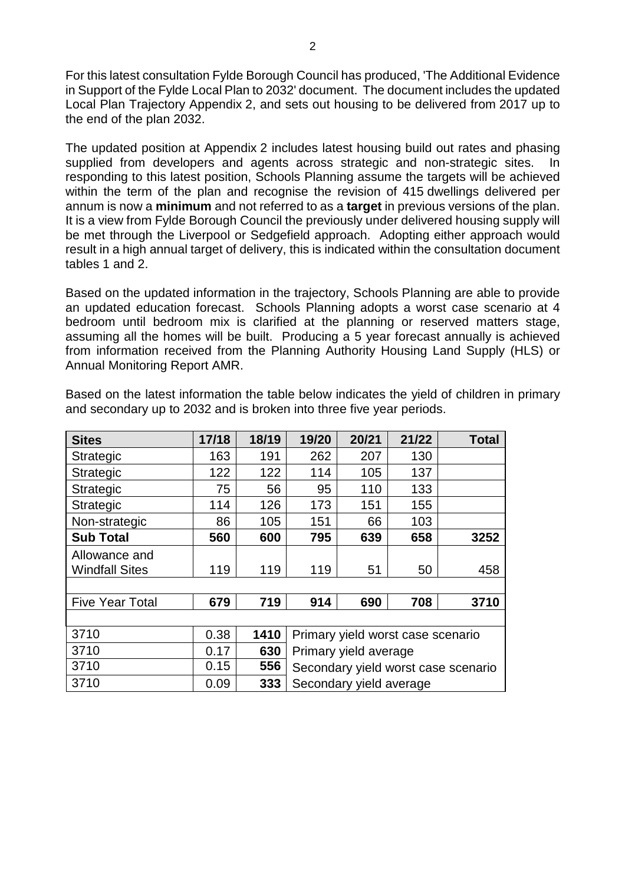For this latest consultation Fylde Borough Council has produced, 'The Additional Evidence in Support of the Fylde Local Plan to 2032' document. The document includes the updated Local Plan Trajectory Appendix 2, and sets out housing to be delivered from 2017 up to the end of the plan 2032.

The updated position at Appendix 2 includes latest housing build out rates and phasing supplied from developers and agents across strategic and non-strategic sites. In responding to this latest position, Schools Planning assume the targets will be achieved within the term of the plan and recognise the revision of 415 dwellings delivered per annum is now a **minimum** and not referred to as a **target** in previous versions of the plan. It is a view from Fylde Borough Council the previously under delivered housing supply will be met through the Liverpool or Sedgefield approach. Adopting either approach would result in a high annual target of delivery, this is indicated within the consultation document tables 1 and 2.

Based on the updated information in the trajectory, Schools Planning are able to provide an updated education forecast. Schools Planning adopts a worst case scenario at 4 bedroom until bedroom mix is clarified at the planning or reserved matters stage, assuming all the homes will be built. Producing a 5 year forecast annually is achieved from information received from the Planning Authority Housing Land Supply (HLS) or Annual Monitoring Report AMR.

| <b>Sites</b>           | 17/18 | 18/19 | 19/20                               | 20/21 | 21/22 | <b>Total</b> |  |  |
|------------------------|-------|-------|-------------------------------------|-------|-------|--------------|--|--|
| <b>Strategic</b>       | 163   | 191   | 262                                 | 207   | 130   |              |  |  |
| <b>Strategic</b>       | 122   | 122   | 114                                 | 105   | 137   |              |  |  |
| Strategic              | 75    | 56    | 95                                  | 110   | 133   |              |  |  |
| <b>Strategic</b>       | 114   | 126   | 173                                 | 151   | 155   |              |  |  |
| Non-strategic          | 86    | 105   | 151                                 | 66    | 103   |              |  |  |
| <b>Sub Total</b>       | 560   | 600   | 795                                 | 639   | 658   | 3252         |  |  |
| Allowance and          |       |       |                                     |       |       |              |  |  |
| <b>Windfall Sites</b>  | 119   | 119   | 119                                 | 51    | 50    | 458          |  |  |
|                        |       |       |                                     |       |       |              |  |  |
| <b>Five Year Total</b> | 679   | 719   | 914                                 | 690   | 708   | 3710         |  |  |
|                        |       |       |                                     |       |       |              |  |  |
| 3710                   | 0.38  | 1410  | Primary yield worst case scenario   |       |       |              |  |  |
| 3710                   | 0.17  | 630   | Primary yield average               |       |       |              |  |  |
| 3710                   | 0.15  | 556   | Secondary yield worst case scenario |       |       |              |  |  |
| 3710                   | 0.09  | 333   | Secondary yield average             |       |       |              |  |  |

Based on the latest information the table below indicates the yield of children in primary and secondary up to 2032 and is broken into three five year periods.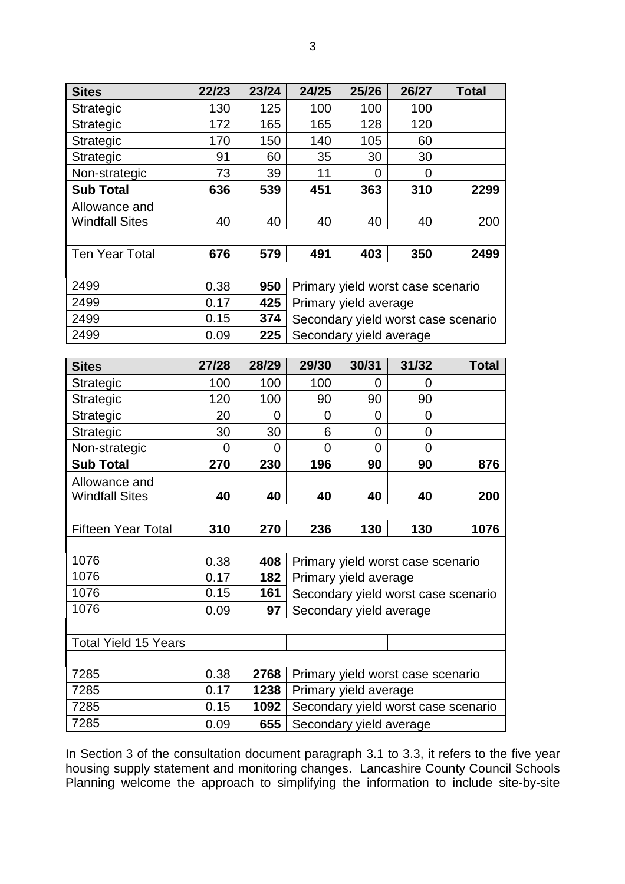| <b>Sites</b>                | 22/23        | 23/24        | 24/25                                                      | 25/26          | 26/27       | <b>Total</b> |  |  |  |  |
|-----------------------------|--------------|--------------|------------------------------------------------------------|----------------|-------------|--------------|--|--|--|--|
| <b>Strategic</b>            | 130          | 125          | 100                                                        | 100            | 100         |              |  |  |  |  |
| Strategic                   | 172          | 165          | 165                                                        | 128            | 120         |              |  |  |  |  |
| <b>Strategic</b>            | 170          | 150          | 140                                                        | 105            | 60          |              |  |  |  |  |
| Strategic                   | 91           | 60           | 35                                                         | 30             | 30          |              |  |  |  |  |
| Non-strategic               | 73           | 39           | 11                                                         | 0              | 0           |              |  |  |  |  |
| <b>Sub Total</b>            | 636          | 539          | 451                                                        | 363            | 310         | 2299         |  |  |  |  |
| Allowance and               |              |              |                                                            |                |             |              |  |  |  |  |
| <b>Windfall Sites</b>       | 40           | 40           | 40                                                         | 40             | 40          | 200          |  |  |  |  |
|                             |              |              |                                                            |                |             |              |  |  |  |  |
| <b>Ten Year Total</b>       | 676          | 579          | 491                                                        | 403            | 350         | 2499         |  |  |  |  |
|                             |              |              |                                                            |                |             |              |  |  |  |  |
| 2499                        | 0.38         | 950          | Primary yield worst case scenario                          |                |             |              |  |  |  |  |
| 2499                        | 0.17         | 425          | Primary yield average                                      |                |             |              |  |  |  |  |
| 2499                        | 0.15         | 374          | Secondary yield worst case scenario                        |                |             |              |  |  |  |  |
| 2499                        | 0.09         | 225          | Secondary yield average                                    |                |             |              |  |  |  |  |
|                             |              |              |                                                            |                |             |              |  |  |  |  |
| <b>Sites</b>                | 27/28        | 28/29        | 29/30                                                      | 30/31          | 31/32       | <b>Total</b> |  |  |  |  |
| <b>Strategic</b>            | 100          | 100          | 100                                                        | $\overline{0}$ | 0           |              |  |  |  |  |
| <b>Strategic</b>            | 120          | 100          | 90                                                         | 90             | 90          |              |  |  |  |  |
| Strategic                   | 20           | 0            | 0                                                          | 0              | 0           |              |  |  |  |  |
| Strategic                   | 30           | 30           | 6                                                          | $\overline{0}$ | $\mathbf 0$ |              |  |  |  |  |
| Non-strategic               | 0            | 0            | $\overline{0}$                                             | $\Omega$       | $\Omega$    |              |  |  |  |  |
| <b>Sub Total</b>            | 270          | 230          | 196                                                        | 90             | 90          | 876          |  |  |  |  |
| Allowance and               |              |              |                                                            |                |             |              |  |  |  |  |
| <b>Windfall Sites</b>       | 40           | 40           | 40                                                         | 40             | 40          | 200          |  |  |  |  |
|                             |              |              |                                                            |                |             |              |  |  |  |  |
| <b>Fifteen Year Total</b>   | 310          | 270          | 236                                                        | 130            | 130         | 1076         |  |  |  |  |
|                             |              |              |                                                            |                |             |              |  |  |  |  |
| 1076                        | 0.38         | 408          | Primary yield worst case scenario                          |                |             |              |  |  |  |  |
| 1076                        | 0.17         | 182          | Primary yield average                                      |                |             |              |  |  |  |  |
| 1076                        | 0.15         | 161          | Secondary yield worst case scenario                        |                |             |              |  |  |  |  |
| 1076                        | 0.09         | 97           | Secondary yield average                                    |                |             |              |  |  |  |  |
|                             |              |              |                                                            |                |             |              |  |  |  |  |
| <b>Total Yield 15 Years</b> |              |              |                                                            |                |             |              |  |  |  |  |
|                             |              |              |                                                            |                |             |              |  |  |  |  |
| 7285<br>7285                | 0.38<br>0.17 | 2768<br>1238 | Primary yield worst case scenario<br>Primary yield average |                |             |              |  |  |  |  |
|                             |              |              | Secondary yield worst case scenario                        |                |             |              |  |  |  |  |
| 7285                        | 0.15         | 1092         |                                                            |                |             |              |  |  |  |  |
| 7285                        | 0.09         | 655          | Secondary yield average                                    |                |             |              |  |  |  |  |

In Section 3 of the consultation document paragraph 3.1 to 3.3, it refers to the five year housing supply statement and monitoring changes. Lancashire County Council Schools Planning welcome the approach to simplifying the information to include site-by-site